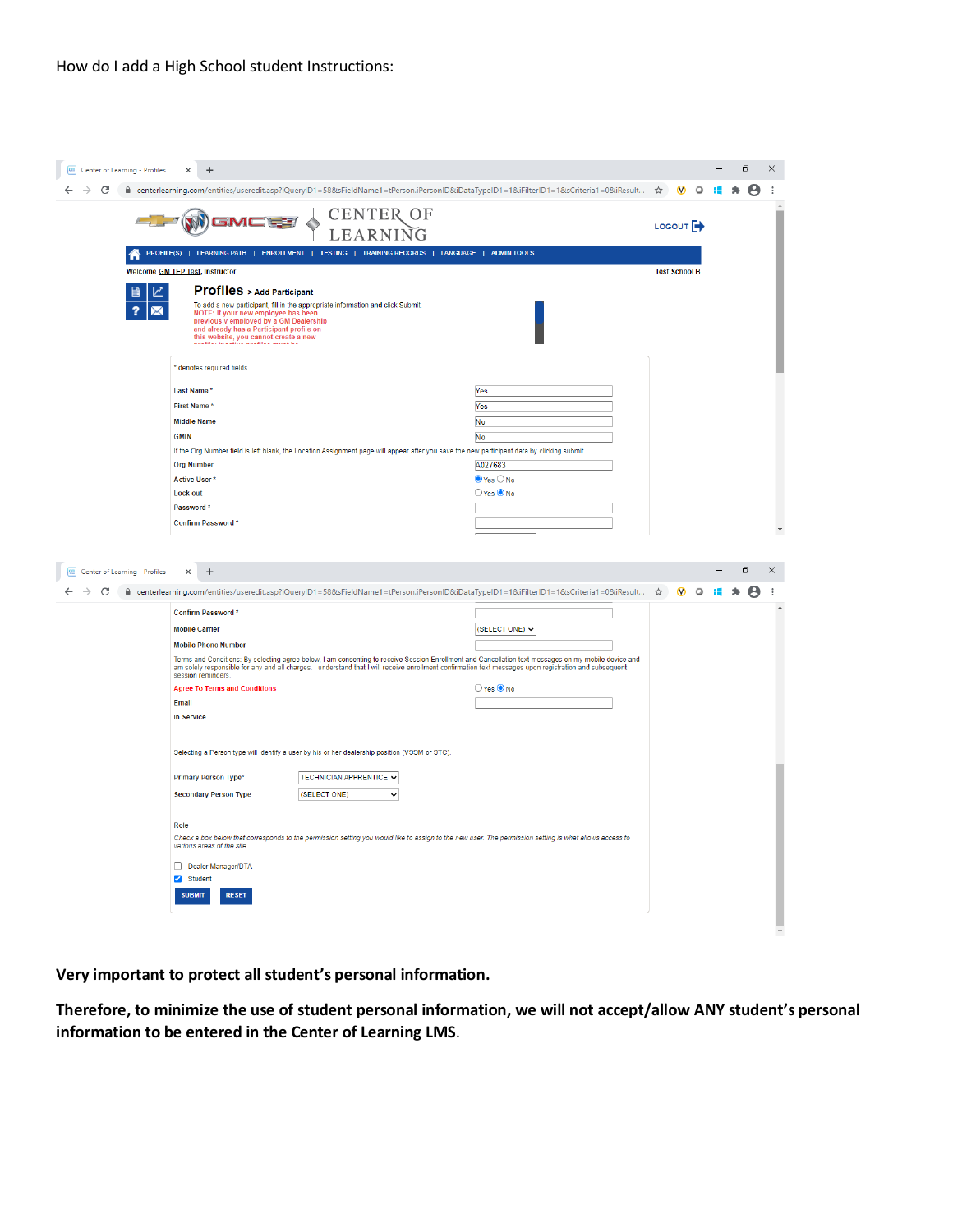| Center of Learning - Profiles<br>$\times$<br>A centerlearning.com/entities/useredit.asp?iQueryID1=58&sFieldName1=tPerson.iPersonID&iDataTypeID1=1&iFilterID1=1&sCriteria1=0&iResult < <a></a>                     |                                                                                                                                                                                                                                                                                                                |                              | $\boldsymbol{\omega}$ | $\Omega$ |        |  |
|-------------------------------------------------------------------------------------------------------------------------------------------------------------------------------------------------------------------|----------------------------------------------------------------------------------------------------------------------------------------------------------------------------------------------------------------------------------------------------------------------------------------------------------------|------------------------------|-----------------------|----------|--------|--|
|                                                                                                                                                                                                                   |                                                                                                                                                                                                                                                                                                                |                              |                       |          |        |  |
|                                                                                                                                                                                                                   | <b>CENTER OF</b>                                                                                                                                                                                                                                                                                               |                              | LOGOUT <sup>4</sup>   |          |        |  |
|                                                                                                                                                                                                                   | LEARNING                                                                                                                                                                                                                                                                                                       |                              |                       |          |        |  |
|                                                                                                                                                                                                                   | PROFILE(S)   LEARNING PATH   ENROLLMENT   TESTING   TRAINING RECORDS   LANGUAGE   ADMIN TOOLS                                                                                                                                                                                                                  |                              |                       |          |        |  |
| <b>Welcome GM TEP Test, Instructor</b>                                                                                                                                                                            |                                                                                                                                                                                                                                                                                                                |                              | <b>Test School B</b>  |          |        |  |
| <b>Profiles</b> > Add Participant<br>ビ<br>To add a new participant, fill in the appropriate information and click Submit.                                                                                         |                                                                                                                                                                                                                                                                                                                |                              |                       |          |        |  |
| NOTE: If your new employee has been<br>previously employed by a GM Dealership<br>and already has a Participant profile on<br>this website, you cannot create a new                                                |                                                                                                                                                                                                                                                                                                                |                              |                       |          |        |  |
| denotes required fields                                                                                                                                                                                           |                                                                                                                                                                                                                                                                                                                |                              |                       |          |        |  |
| Last Name*                                                                                                                                                                                                        | Yes                                                                                                                                                                                                                                                                                                            |                              |                       |          |        |  |
| First Name*                                                                                                                                                                                                       | Yes                                                                                                                                                                                                                                                                                                            |                              |                       |          |        |  |
| <b>Middle Name</b>                                                                                                                                                                                                | No                                                                                                                                                                                                                                                                                                             |                              |                       |          |        |  |
| <b>GMIN</b>                                                                                                                                                                                                       | No                                                                                                                                                                                                                                                                                                             |                              |                       |          |        |  |
|                                                                                                                                                                                                                   | If the Org Number field is left blank, the Location Assignment page will appear after you save the new participant data by clicking submit.                                                                                                                                                                    |                              |                       |          |        |  |
| <b>Org Number</b>                                                                                                                                                                                                 | A027683                                                                                                                                                                                                                                                                                                        |                              |                       |          |        |  |
| <b>Active User*</b>                                                                                                                                                                                               |                                                                                                                                                                                                                                                                                                                | $\odot$ Yes $\bigcirc$ No    |                       |          |        |  |
| <b>Lock out</b>                                                                                                                                                                                                   |                                                                                                                                                                                                                                                                                                                | O Yes O No                   |                       |          |        |  |
| Password*                                                                                                                                                                                                         |                                                                                                                                                                                                                                                                                                                |                              |                       |          |        |  |
|                                                                                                                                                                                                                   |                                                                                                                                                                                                                                                                                                                |                              |                       |          |        |  |
| Confirm Password*                                                                                                                                                                                                 |                                                                                                                                                                                                                                                                                                                |                              |                       |          |        |  |
| $\ddot{}$<br>$\times$                                                                                                                                                                                             |                                                                                                                                                                                                                                                                                                                |                              |                       |          | $\Box$ |  |
|                                                                                                                                                                                                                   |                                                                                                                                                                                                                                                                                                                |                              | ☆                     |          |        |  |
| Confirm Password*                                                                                                                                                                                                 |                                                                                                                                                                                                                                                                                                                |                              |                       |          |        |  |
| <b>Mobile Carrier</b>                                                                                                                                                                                             |                                                                                                                                                                                                                                                                                                                | (SELECT ONE) V               |                       |          |        |  |
| <b>Mobile Phone Number</b>                                                                                                                                                                                        |                                                                                                                                                                                                                                                                                                                |                              |                       |          |        |  |
| session reminders.                                                                                                                                                                                                | Terms and Conditions: By selecting agree below, I am consenting to receive Session Enrollment and Cancellation text messages on my mobile device and<br>am solely responsible for any and all charges. I understand that I will receive enrollment confirmation text messages upon registration and subsequent |                              |                       |          |        |  |
| <b>Agree To Terms and Conditions</b>                                                                                                                                                                              |                                                                                                                                                                                                                                                                                                                | $\bigcirc$ Yes $\bigcirc$ No |                       |          |        |  |
| Email                                                                                                                                                                                                             |                                                                                                                                                                                                                                                                                                                |                              |                       |          |        |  |
| <b>In Service</b>                                                                                                                                                                                                 |                                                                                                                                                                                                                                                                                                                |                              |                       |          |        |  |
| Selecting a Person type will identify a user by his or her dealership position (VSSM or STC).                                                                                                                     |                                                                                                                                                                                                                                                                                                                |                              |                       |          |        |  |
| <b>Primary Person Type*</b>                                                                                                                                                                                       | TECHNICIAN APPRENTICE $\blacktriangleright$                                                                                                                                                                                                                                                                    |                              |                       |          |        |  |
| <b>Secondary Person Type</b>                                                                                                                                                                                      | (SELECT ONE)<br>$\check{ }$                                                                                                                                                                                                                                                                                    |                              |                       |          |        |  |
|                                                                                                                                                                                                                   |                                                                                                                                                                                                                                                                                                                |                              |                       |          |        |  |
| Role                                                                                                                                                                                                              |                                                                                                                                                                                                                                                                                                                |                              |                       |          |        |  |
| various areas of the site.                                                                                                                                                                                        | Check a box below that corresponds to the permission setting you would like to assign to the new user. The permission setting is what allows access to                                                                                                                                                         |                              |                       |          |        |  |
|                                                                                                                                                                                                                   |                                                                                                                                                                                                                                                                                                                |                              |                       |          |        |  |
| Dealer Manager/DTA                                                                                                                                                                                                |                                                                                                                                                                                                                                                                                                                |                              |                       |          |        |  |
| Center of Learning - Profiles<br>centerlearning.com/entities/useredit.asp?iQueryID1=58&sFieldName1=tPerson.iPersonID&iDataTypeID1=1&iFilterID1=1&sCriteria1=0&iResult<br>Student<br><b>SUBMIT</b><br><b>RESET</b> |                                                                                                                                                                                                                                                                                                                |                              |                       |          |        |  |

**Very important to protect all student's personal information.** 

**Therefore, to minimize the use of student personal information, we will not accept/allow ANY student's personal information to be entered in the Center of Learning LMS**.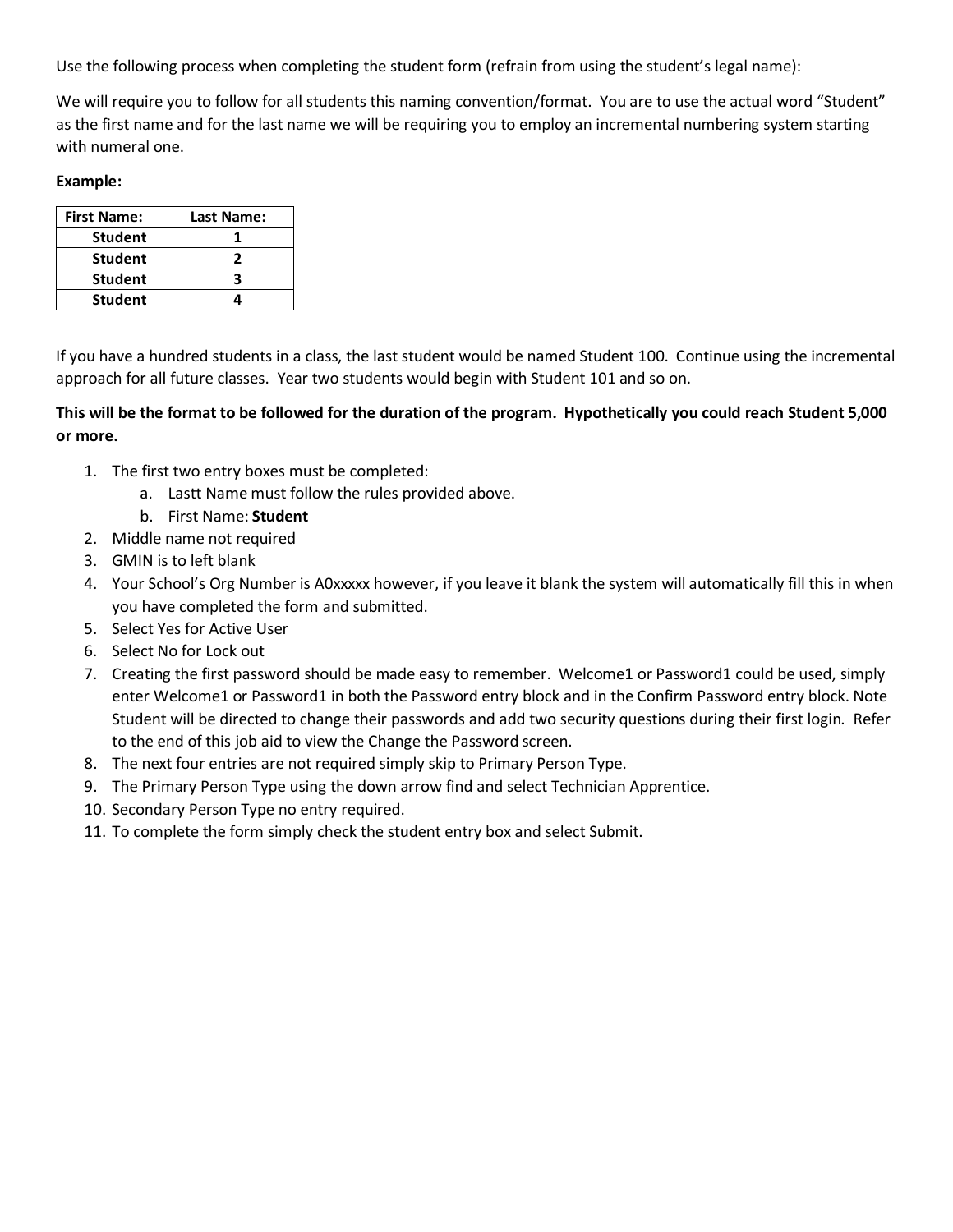Use the following process when completing the student form (refrain from using the student's legal name):

We will require you to follow for all students this naming convention/format. You are to use the actual word "Student" as the first name and for the last name we will be requiring you to employ an incremental numbering system starting with numeral one.

## **Example:**

| <b>First Name:</b> | Last Name: |
|--------------------|------------|
| <b>Student</b>     |            |
| <b>Student</b>     |            |
| <b>Student</b>     | R          |
| <b>Student</b>     |            |

If you have a hundred students in a class, the last student would be named Student 100. Continue using the incremental approach for all future classes. Year two students would begin with Student 101 and so on.

## **This will be the format to be followed for the duration of the program. Hypothetically you could reach Student 5,000 or more.**

- 1. The first two entry boxes must be completed:
	- a. Lastt Name must follow the rules provided above.
	- b. First Name: **Student**
- 2. Middle name not required
- 3. GMIN is to left blank
- 4. Your School's Org Number is A0xxxxx however, if you leave it blank the system will automatically fill this in when you have completed the form and submitted.
- 5. Select Yes for Active User
- 6. Select No for Lock out
- 7. Creating the first password should be made easy to remember. Welcome1 or Password1 could be used, simply enter Welcome1 or Password1 in both the Password entry block and in the Confirm Password entry block. Note Student will be directed to change their passwords and add two security questions during their first login. Refer to the end of this job aid to view the Change the Password screen.
- 8. The next four entries are not required simply skip to Primary Person Type.
- 9. The Primary Person Type using the down arrow find and select Technician Apprentice.
- 10. Secondary Person Type no entry required.
- 11. To complete the form simply check the student entry box and select Submit.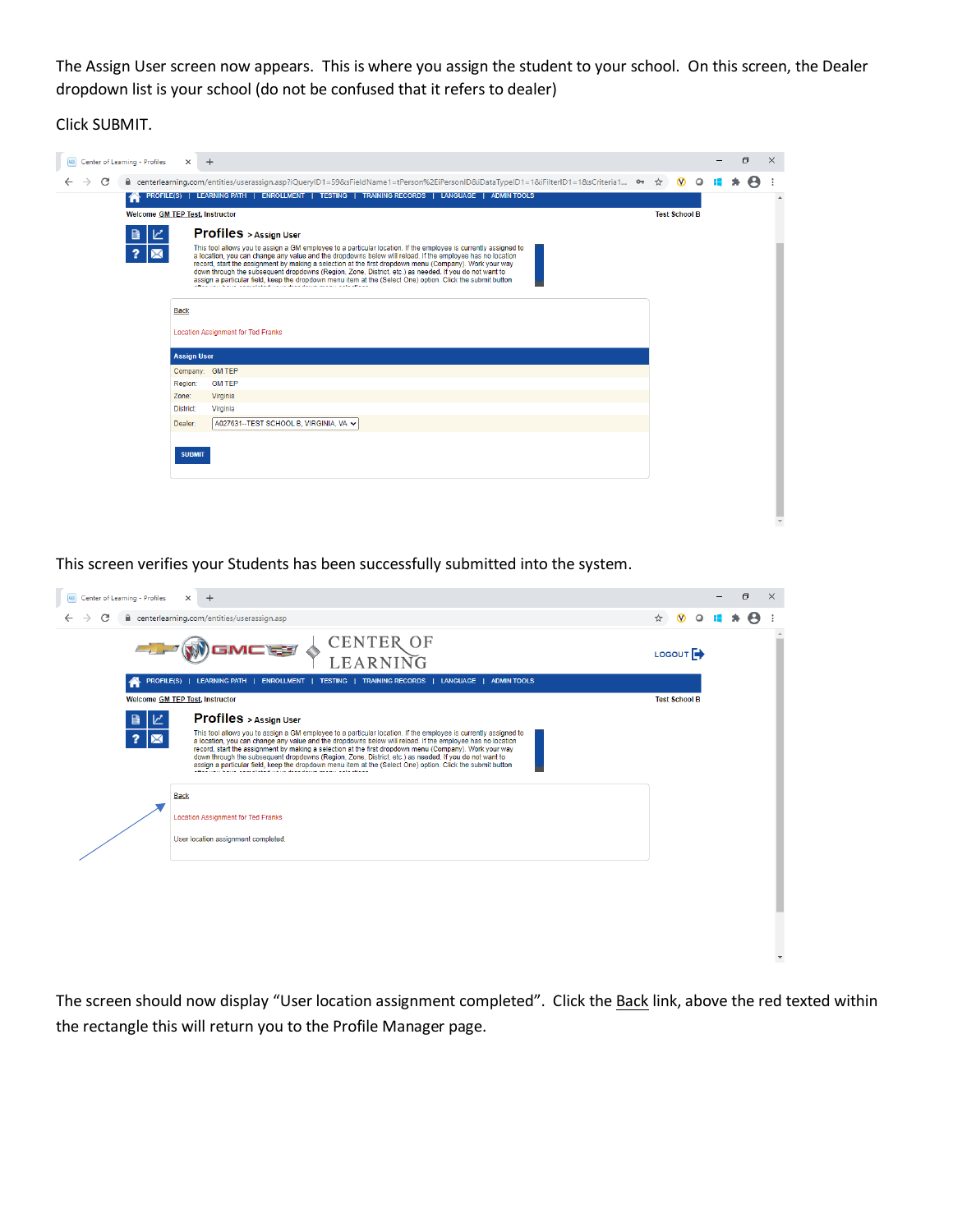The Assign User screen now appears. This is where you assign the student to your school. On this screen, the Dealer dropdown list is your school (do not be confused that it refers to dealer)

Click SUBMIT.

|  |   | Center of Learning - Profiles   | $\times$           | $+$                                                                                                                                                                                                                                                                                                                                                                                                                                                                                                                                                                                                                                                                                                              |  |                      |         | $\Box$ | $\times$ |
|--|---|---------------------------------|--------------------|------------------------------------------------------------------------------------------------------------------------------------------------------------------------------------------------------------------------------------------------------------------------------------------------------------------------------------------------------------------------------------------------------------------------------------------------------------------------------------------------------------------------------------------------------------------------------------------------------------------------------------------------------------------------------------------------------------------|--|----------------------|---------|--------|----------|
|  | C |                                 |                    | <b>A</b> centerlearning.com/entities/userassign.asp?iQueryID1=59&sFieldName1=tPerson%2EiPersonID&iDataTypeID1=1&iFilterID1=1&sCriteria1<br><a></a>                                                                                                                                                                                                                                                                                                                                                                                                                                                                                                                                                               |  |                      | $\circ$ | Θ      |          |
|  |   |                                 |                    | PROFILE(S)   LEARNING PATH   ENROLLMENT   TESTING   TRAINING RECORDS   LANGUAGE   ADMINTOOLS                                                                                                                                                                                                                                                                                                                                                                                                                                                                                                                                                                                                                     |  |                      |         |        | $\Delta$ |
|  |   | Welcome GM TEP Test, Instructor |                    |                                                                                                                                                                                                                                                                                                                                                                                                                                                                                                                                                                                                                                                                                                                  |  | <b>Test School B</b> |         |        |          |
|  |   |                                 |                    | <b>Profiles</b> > Assign User<br>This tool allows you to assign a GM employee to a particular location. If the employee is currently assigned to<br>a location, you can change any value and the dropdowns below will reload. If the employee has no location<br>record, start the assignment by making a selection at the first dropdown menu (Company). Work your way<br>down through the subsequent dropdowns (Region, Zone, District, etc.) as needed. If you do not want to<br>assign a particular field, keep the dropdown menu item at the (Select One) option. Click the submit button<br>adian concerta a construction de construction de construction de la construction de la construction de la cons |  |                      |         |        |          |
|  |   |                                 | <b>Back</b>        | <b>Location Assignment for Ted Franks</b>                                                                                                                                                                                                                                                                                                                                                                                                                                                                                                                                                                                                                                                                        |  |                      |         |        |          |
|  |   |                                 | <b>Assign User</b> |                                                                                                                                                                                                                                                                                                                                                                                                                                                                                                                                                                                                                                                                                                                  |  |                      |         |        |          |
|  |   |                                 |                    | Company: GM TEP                                                                                                                                                                                                                                                                                                                                                                                                                                                                                                                                                                                                                                                                                                  |  |                      |         |        |          |
|  |   |                                 | Region:<br>Zone:   | <b>GM TEP</b><br>Virginia                                                                                                                                                                                                                                                                                                                                                                                                                                                                                                                                                                                                                                                                                        |  |                      |         |        |          |
|  |   |                                 | District:          | Virginia                                                                                                                                                                                                                                                                                                                                                                                                                                                                                                                                                                                                                                                                                                         |  |                      |         |        |          |
|  |   |                                 | Dealer:            | A027631--TEST SCHOOL B, VIRGINIA, VA V                                                                                                                                                                                                                                                                                                                                                                                                                                                                                                                                                                                                                                                                           |  |                      |         |        |          |
|  |   |                                 |                    |                                                                                                                                                                                                                                                                                                                                                                                                                                                                                                                                                                                                                                                                                                                  |  |                      |         |        |          |
|  |   |                                 | <b>SUBMIT</b>      |                                                                                                                                                                                                                                                                                                                                                                                                                                                                                                                                                                                                                                                                                                                  |  |                      |         |        |          |
|  |   |                                 |                    |                                                                                                                                                                                                                                                                                                                                                                                                                                                                                                                                                                                                                                                                                                                  |  |                      |         |        |          |

This screen verifies your Students has been successfully submitted into the system.

| <b>98 Center of Learning - Profiles</b><br>$\times$<br>$\ddot{}$                                                                                                                                                                                                                                                                                                                                                                                                                                                                                                                                                             |                            |         | $\Box$ | $\times$ |  |
|------------------------------------------------------------------------------------------------------------------------------------------------------------------------------------------------------------------------------------------------------------------------------------------------------------------------------------------------------------------------------------------------------------------------------------------------------------------------------------------------------------------------------------------------------------------------------------------------------------------------------|----------------------------|---------|--------|----------|--|
| C<br>e centerlearning.com/entities/userassign.asp                                                                                                                                                                                                                                                                                                                                                                                                                                                                                                                                                                            | $\boldsymbol{\Omega}$<br>☆ | $\circ$ |        |          |  |
| <b>CENTER OF</b><br><b>GMC W</b><br>LEA                                                                                                                                                                                                                                                                                                                                                                                                                                                                                                                                                                                      | LOGOUT <sup>4</sup>        |         |        |          |  |
| PROFILE(S)   LEARNING PATH   ENROLLMENT   TESTING   TRAINING RECORDS   LANGUAGE   ADMIN TOOLS                                                                                                                                                                                                                                                                                                                                                                                                                                                                                                                                |                            |         |        |          |  |
| <b>Welcome GM TEP Test, Instructor</b>                                                                                                                                                                                                                                                                                                                                                                                                                                                                                                                                                                                       | <b>Test School B</b>       |         |        |          |  |
| <b>Profiles</b> > Assign User                                                                                                                                                                                                                                                                                                                                                                                                                                                                                                                                                                                                |                            |         |        |          |  |
| This tool allows you to assign a GM employee to a particular location. If the employee is currently assigned to<br>2<br>a location, you can change any value and the dropdowns below will reload. If the employee has no location<br>record, start the assignment by making a selection at the first dropdown menu (Company). Work your way<br>down through the subsequent dropdowns (Region, Zone, District, etc.) as needed. If you do not want to<br>assign a particular field, keep the dropdown menu item at the (Select One) option, Click the submit button<br>analisan kana asaasta sanan araa ahna asaas ayaa sanan |                            |         |        |          |  |
| <b>Back</b>                                                                                                                                                                                                                                                                                                                                                                                                                                                                                                                                                                                                                  |                            |         |        |          |  |
| <b>Location Assignment for Ted Franks</b>                                                                                                                                                                                                                                                                                                                                                                                                                                                                                                                                                                                    |                            |         |        |          |  |
| User location assignment completed.                                                                                                                                                                                                                                                                                                                                                                                                                                                                                                                                                                                          |                            |         |        |          |  |
|                                                                                                                                                                                                                                                                                                                                                                                                                                                                                                                                                                                                                              |                            |         |        |          |  |
|                                                                                                                                                                                                                                                                                                                                                                                                                                                                                                                                                                                                                              |                            |         |        |          |  |
|                                                                                                                                                                                                                                                                                                                                                                                                                                                                                                                                                                                                                              |                            |         |        |          |  |
|                                                                                                                                                                                                                                                                                                                                                                                                                                                                                                                                                                                                                              |                            |         |        |          |  |

The screen should now display "User location assignment completed". Click the Back link, above the red texted within the rectangle this will return you to the Profile Manager page.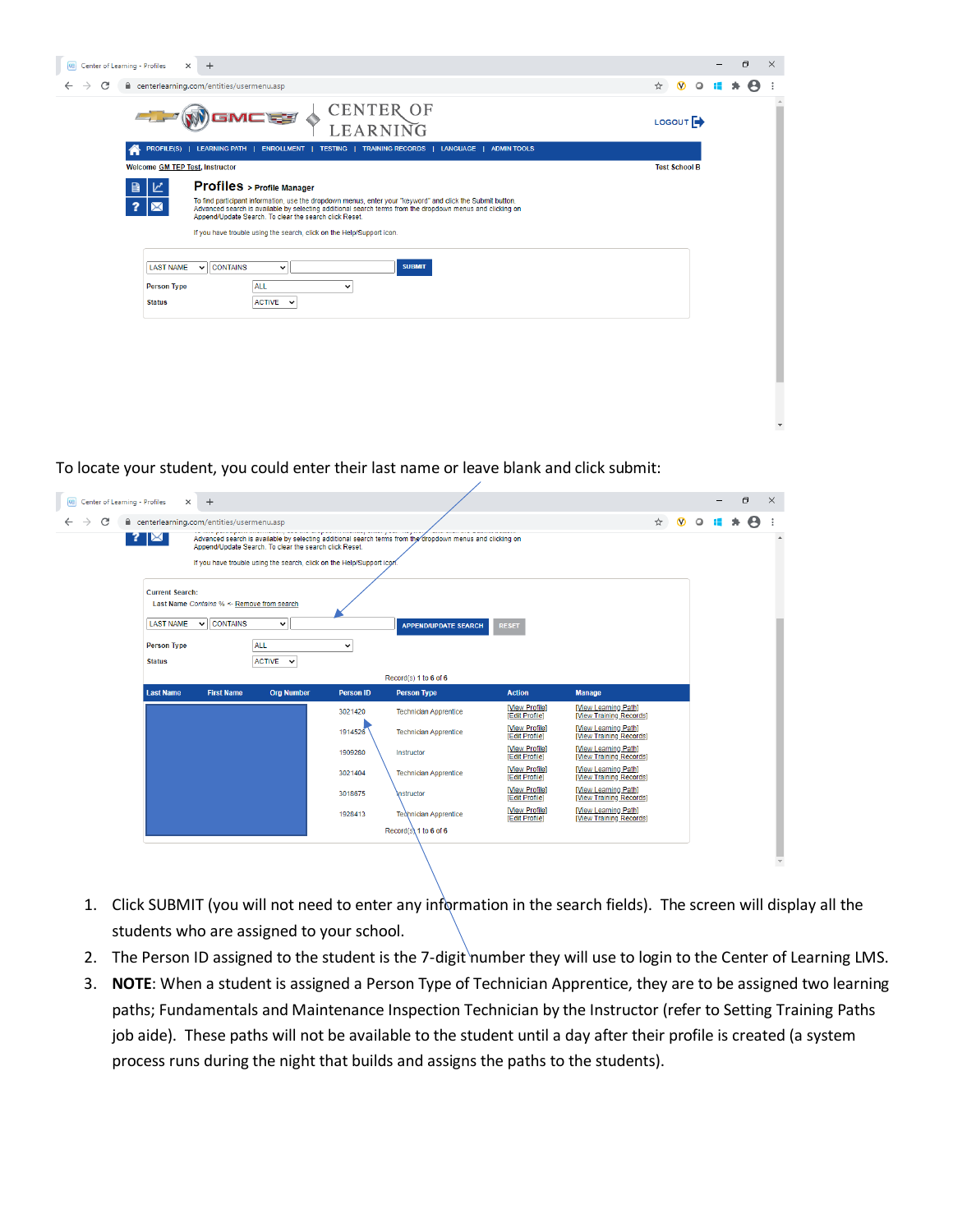| Center of Learning - Profiles<br>$\times$<br>$\ddot{}$                                                                                                                                                                                                                                                                                                                                                                                                                                                                                                                 |                     |                       |         | O | $\times$ |
|------------------------------------------------------------------------------------------------------------------------------------------------------------------------------------------------------------------------------------------------------------------------------------------------------------------------------------------------------------------------------------------------------------------------------------------------------------------------------------------------------------------------------------------------------------------------|---------------------|-----------------------|---------|---|----------|
| C<br>centerlearning.com/entities/usermenu.asp                                                                                                                                                                                                                                                                                                                                                                                                                                                                                                                          | ☆                   | $\boldsymbol{\omega}$ | $\circ$ |   |          |
| <b>CENTER OF</b><br>GMCEE<br>LEARNING                                                                                                                                                                                                                                                                                                                                                                                                                                                                                                                                  | LOGOUT <sup>E</sup> |                       |         |   |          |
| PROFILE(S)   LEARNING PATH   ENROLLMENT   TESTING   TRAINING RECORDS   LANGUAGE   ADMIN TOOLS                                                                                                                                                                                                                                                                                                                                                                                                                                                                          |                     |                       |         |   |          |
| <b>Welcome GM TEP Test, Instructor</b>                                                                                                                                                                                                                                                                                                                                                                                                                                                                                                                                 |                     | <b>Test School B</b>  |         |   |          |
| <b>Profiles</b> > Profile Manager<br>To find participant information, use the dropdown menus, enter your "keyword" and click the Submit button.<br>Advanced search is available by selecting additional search terms from the dropdown menus and clicking on<br>Append/Update Search. To clear the search click Reset.<br>If you have trouble using the search, click on the Help/Support icon.<br><b>SUBMIT</b><br><b>CONTAINS</b><br><b>LAST NAME</b><br>$\check{ }$<br>$\checkmark$<br><b>ALL</b><br><b>Person Type</b><br>$\check{ }$<br>ACTIVE V<br><b>Status</b> |                     |                       |         |   |          |
|                                                                                                                                                                                                                                                                                                                                                                                                                                                                                                                                                                        |                     |                       |         |   |          |

 $\downarrow$ 

To locate your student, you could enter their last name or leave blank and click submit:

| Center of Learning - Profiles<br>$x +$                                                                                                                                                          |                                                        |
|-------------------------------------------------------------------------------------------------------------------------------------------------------------------------------------------------|--------------------------------------------------------|
| C<br>$\rightarrow$<br>centerlearning.com/entities/usermenu.asp                                                                                                                                  | $\bullet$ $\circ$<br>$\overleftrightarrow{\mathbf{a}}$ |
| $\mathbf{?} \mathbf{X} $<br>Advanced search is available by selecting additional search terms from the dropdown menus and clicking on<br>Append/Update Search. To clear the search click Reset. |                                                        |
| If you have trouble using the search, click on the Help/Support icon.                                                                                                                           |                                                        |
|                                                                                                                                                                                                 |                                                        |
| <b>Current Search:</b>                                                                                                                                                                          |                                                        |
| Last Name Contains % <- Remove from search                                                                                                                                                      |                                                        |
| $\vee$ $\overline{\phantom{a}}$ CONTAINS<br><b>LAST NAME</b><br>$\checkmark$<br><b>APPEND/UPDATE SEARCH</b><br><b>RESET</b>                                                                     |                                                        |
| <b>ALL</b><br><b>Person Type</b><br>$\checkmark$                                                                                                                                                |                                                        |
| ACTIVE Y<br><b>Status</b>                                                                                                                                                                       |                                                        |
| Record(s) 1 to 6 of 6                                                                                                                                                                           |                                                        |
| <b>Last Name</b><br><b>First Name</b><br><b>Org Number</b><br><b>Person ID</b><br><b>Action</b><br><b>Person Type</b><br><b>Manage</b>                                                          |                                                        |
| [View Profile]<br>[View Learning Path]<br>3021420<br><b>Technician Apprentice</b><br>[View Training Records]<br>[Edit Profile]                                                                  |                                                        |
| [View Learning Path]<br>[View Profile]<br>1914526<br><b>Technician Apprentice</b><br>[Edit Profile]<br>[View Training Records]                                                                  |                                                        |
| [View Profile]<br>[View Learning Path]<br>1909280<br>Instructor<br>[Edit Profile]<br>[View Training Records]                                                                                    |                                                        |
| [View Profile]<br>[View Learning Path]<br>3021404<br><b>Technician Apprentice</b><br>[Edit Profile]<br>[View Training Records]                                                                  |                                                        |
| [View Profile]<br>[View Learning Path]<br>3018675<br><b>Instructor</b><br>[Edit Profile]<br>[View Training Records]                                                                             |                                                        |
| [View Learning Path]<br>[View Profile]<br>1928413<br><b>Technician Apprentice</b><br>[View Training Records]<br>[Edit Profile]                                                                  |                                                        |
| $Record(s)$ 1 to 6 of 6                                                                                                                                                                         |                                                        |
|                                                                                                                                                                                                 |                                                        |

- 1. Click SUBMIT (you will not need to enter any information in the search fields). The screen will display all the students who are assigned to your school.
- 2. The Person ID assigned to the student is the 7-digit number they will use to login to the Center of Learning LMS.
- 3. **NOTE**: When a student is assigned a Person Type of Technician Apprentice, they are to be assigned two learning paths; Fundamentals and Maintenance Inspection Technician by the Instructor (refer to Setting Training Paths job aide). These paths will not be available to the student until a day after their profile is created (a system process runs during the night that builds and assigns the paths to the students).